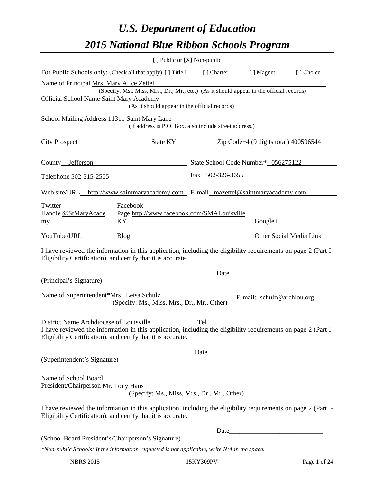# *U.S. Department of Education 2015 National Blue Ribbon Schools Program*

|                                                             | [ ] Public or [X] Non-public                                                                                                                                                                                              |                  |                                    |                                 |
|-------------------------------------------------------------|---------------------------------------------------------------------------------------------------------------------------------------------------------------------------------------------------------------------------|------------------|------------------------------------|---------------------------------|
|                                                             | For Public Schools only: (Check all that apply) [] Title I [] Charter [] Magnet                                                                                                                                           |                  |                                    | [] Choice                       |
| Name of Principal Mrs. Mary Alice Zettel                    |                                                                                                                                                                                                                           |                  |                                    |                                 |
| Official School Name Saint Mary Academy                     | (Specify: Ms., Miss, Mrs., Dr., Mr., etc.) (As it should appear in the official records)                                                                                                                                  |                  |                                    |                                 |
|                                                             | y Academy<br>(As it should appear in the official records)                                                                                                                                                                |                  |                                    |                                 |
| School Mailing Address 11311 Saint Mary Lane                | Saint Mary Lane<br>(If address is P.O. Box, also include street address.)                                                                                                                                                 |                  |                                    |                                 |
|                                                             |                                                                                                                                                                                                                           |                  |                                    |                                 |
|                                                             | City Prospect State KY Zip Code+4 (9 digits total) 400596544                                                                                                                                                              |                  |                                    |                                 |
|                                                             | County Jefferson State School Code Number* 056275122                                                                                                                                                                      |                  |                                    |                                 |
|                                                             | Telephone 502-315-2555                                                                                                                                                                                                    | Fax 502-326-3655 |                                    |                                 |
|                                                             | Web site/URL_http://www.saintmaryacademy.com E-mail_mazettel@saintmaryacademy.com                                                                                                                                         |                  |                                    |                                 |
| Twitter<br>my                                               | Facebook<br>Handle @StMaryAcade    Page http://www.facebook.com/SMALouisville<br>$\overline{KY}$                                                                                                                          |                  |                                    |                                 |
|                                                             | YouTube/URL Blog                                                                                                                                                                                                          |                  |                                    | Other Social Media Link _______ |
|                                                             | I have reviewed the information in this application, including the eligibility requirements on page 2 (Part I-<br>Eligibility Certification), and certify that it is accurate.                                            |                  |                                    |                                 |
|                                                             | <u> 1980 - Johann Barn, amerikansk politiker (</u>                                                                                                                                                                        |                  |                                    |                                 |
| (Principal's Signature)                                     |                                                                                                                                                                                                                           |                  |                                    |                                 |
| Name of Superintendent*Mrs. Leisa Schulz                    | (Specify: Ms., Miss, Mrs., Dr., Mr., Other)                                                                                                                                                                               |                  | E-mail: <b>lschulz@archlou.org</b> |                                 |
|                                                             | District Name Archdiocese of Louisville<br>I have reviewed the information in this application, including the eligibility requirements on page 2 (Part I-<br>Eligibility Certification), and certify that it is accurate. |                  |                                    |                                 |
|                                                             |                                                                                                                                                                                                                           | Date             |                                    |                                 |
| (Superintendent's Signature)                                |                                                                                                                                                                                                                           |                  |                                    |                                 |
| Name of School Board<br>President/Chairperson Mr. Tony Hans | (Specify: Ms., Miss, Mrs., Dr., Mr., Other)                                                                                                                                                                               |                  |                                    |                                 |
|                                                             |                                                                                                                                                                                                                           |                  |                                    |                                 |
|                                                             | I have reviewed the information in this application, including the eligibility requirements on page 2 (Part I-<br>Eligibility Certification), and certify that it is accurate.                                            |                  |                                    |                                 |
|                                                             |                                                                                                                                                                                                                           | Date             |                                    |                                 |
| (School Board President's/Chairperson's Signature)          |                                                                                                                                                                                                                           |                  |                                    |                                 |
|                                                             | *Non-public Schools: If the information requested is not applicable, write N/A in the space.                                                                                                                              |                  |                                    |                                 |

NBRS 2015 15KY309PV Page 1 of 24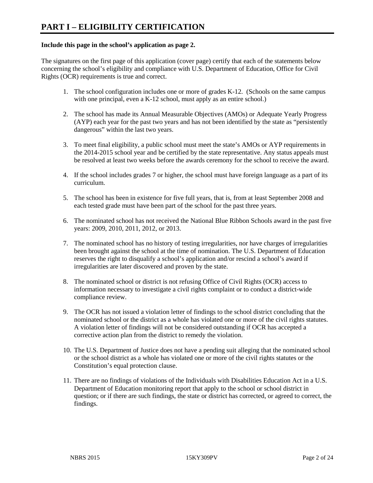#### **Include this page in the school's application as page 2.**

The signatures on the first page of this application (cover page) certify that each of the statements below concerning the school's eligibility and compliance with U.S. Department of Education, Office for Civil Rights (OCR) requirements is true and correct.

- 1. The school configuration includes one or more of grades K-12. (Schools on the same campus with one principal, even a K-12 school, must apply as an entire school.)
- 2. The school has made its Annual Measurable Objectives (AMOs) or Adequate Yearly Progress (AYP) each year for the past two years and has not been identified by the state as "persistently dangerous" within the last two years.
- 3. To meet final eligibility, a public school must meet the state's AMOs or AYP requirements in the 2014-2015 school year and be certified by the state representative. Any status appeals must be resolved at least two weeks before the awards ceremony for the school to receive the award.
- 4. If the school includes grades 7 or higher, the school must have foreign language as a part of its curriculum.
- 5. The school has been in existence for five full years, that is, from at least September 2008 and each tested grade must have been part of the school for the past three years.
- 6. The nominated school has not received the National Blue Ribbon Schools award in the past five years: 2009, 2010, 2011, 2012, or 2013.
- 7. The nominated school has no history of testing irregularities, nor have charges of irregularities been brought against the school at the time of nomination. The U.S. Department of Education reserves the right to disqualify a school's application and/or rescind a school's award if irregularities are later discovered and proven by the state.
- 8. The nominated school or district is not refusing Office of Civil Rights (OCR) access to information necessary to investigate a civil rights complaint or to conduct a district-wide compliance review.
- 9. The OCR has not issued a violation letter of findings to the school district concluding that the nominated school or the district as a whole has violated one or more of the civil rights statutes. A violation letter of findings will not be considered outstanding if OCR has accepted a corrective action plan from the district to remedy the violation.
- 10. The U.S. Department of Justice does not have a pending suit alleging that the nominated school or the school district as a whole has violated one or more of the civil rights statutes or the Constitution's equal protection clause.
- 11. There are no findings of violations of the Individuals with Disabilities Education Act in a U.S. Department of Education monitoring report that apply to the school or school district in question; or if there are such findings, the state or district has corrected, or agreed to correct, the findings.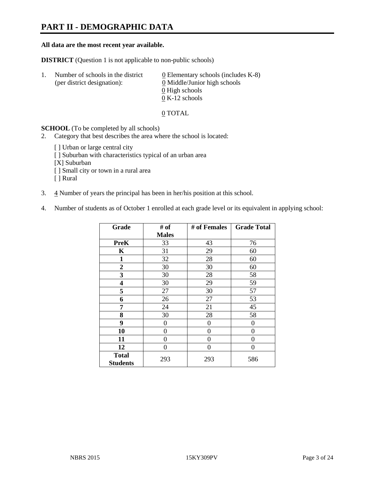# **PART II - DEMOGRAPHIC DATA**

#### **All data are the most recent year available.**

**DISTRICT** (Question 1 is not applicable to non-public schools)

| -1. | Number of schools in the district<br>(per district designation): | $\underline{0}$ Elementary schools (includes K-8)<br>0 Middle/Junior high schools<br>0 High schools |
|-----|------------------------------------------------------------------|-----------------------------------------------------------------------------------------------------|
|     |                                                                  |                                                                                                     |
|     |                                                                  | $0 K-12$ schools                                                                                    |

0 TOTAL

**SCHOOL** (To be completed by all schools)

- 2. Category that best describes the area where the school is located:
	- [ ] Urban or large central city
	- [ ] Suburban with characteristics typical of an urban area
	- [X] Suburban
	- [ ] Small city or town in a rural area
	- [ ] Rural
- 3.  $\frac{4}{3}$  Number of years the principal has been in her/his position at this school.
- 4. Number of students as of October 1 enrolled at each grade level or its equivalent in applying school:

| Grade                           | # of         | # of Females | <b>Grade Total</b> |
|---------------------------------|--------------|--------------|--------------------|
|                                 | <b>Males</b> |              |                    |
| PreK                            | 33           | 43           | 76                 |
| K                               | 31           | 29           | 60                 |
| $\mathbf{1}$                    | 32           | 28           | 60                 |
| $\boldsymbol{2}$                | 30           | 30           | 60                 |
| 3                               | 30           | 28           | 58                 |
| 4                               | 30           | 29           | 59                 |
| 5                               | 27           | 30           | 57                 |
| 6                               | 26           | 27           | 53                 |
| 7                               | 24           | 21           | 45                 |
| 8                               | 30           | 28           | 58                 |
| 9                               | 0            | 0            | 0                  |
| 10                              | 0            | 0            | 0                  |
| 11                              | 0            | 0            | 0                  |
| 12                              | 0            | 0            | 0                  |
| <b>Total</b><br><b>Students</b> | 293          | 293          | 586                |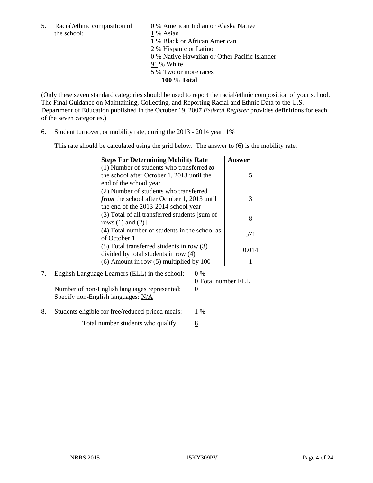the school: 1 % Asian

5. Racial/ethnic composition of  $\qquad \qquad \underline{0}$  % American Indian or Alaska Native

1 % Black or African American

2 % Hispanic or Latino

0 % Native Hawaiian or Other Pacific Islander

91 % White

5 % Two or more races

**100 % Total**

(Only these seven standard categories should be used to report the racial/ethnic composition of your school. The Final Guidance on Maintaining, Collecting, and Reporting Racial and Ethnic Data to the U.S. Department of Education published in the October 19, 2007 *Federal Register* provides definitions for each of the seven categories.)

6. Student turnover, or mobility rate, during the 2013 - 2014 year: 1%

This rate should be calculated using the grid below. The answer to (6) is the mobility rate.

| <b>Steps For Determining Mobility Rate</b>         | Answer |
|----------------------------------------------------|--------|
| $(1)$ Number of students who transferred to        |        |
| the school after October 1, 2013 until the         | 5      |
| end of the school year                             |        |
| (2) Number of students who transferred             |        |
| <i>from</i> the school after October 1, 2013 until | 3      |
| the end of the 2013-2014 school year               |        |
| (3) Total of all transferred students [sum of      | 8      |
| rows $(1)$ and $(2)$ ]                             |        |
| (4) Total number of students in the school as      | 571    |
| of October 1                                       |        |
| (5) Total transferred students in row (3)          | 0.014  |
| divided by total students in row (4)               |        |
| $(6)$ Amount in row $(5)$ multiplied by 100        |        |

# 7. English Language Learners (ELL) in the school:  $0\%$

Number of non-English languages represented: 0 Specify non-English languages: N/A

0 Total number ELL

8. Students eligible for free/reduced-priced meals:  $1\%$ 

Total number students who qualify:  $\frac{8}{8}$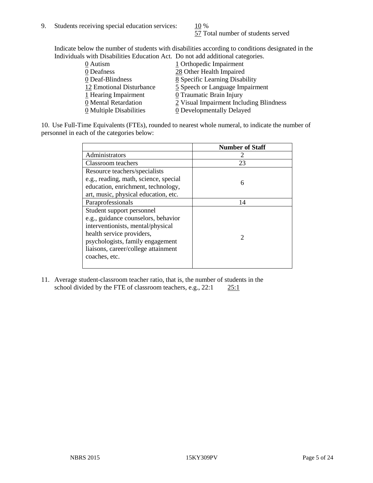57 Total number of students served

Indicate below the number of students with disabilities according to conditions designated in the Individuals with Disabilities Education Act. Do not add additional categories.

| $\cdots$ as inversionally as we we have the contract of $\cdots$ of $\cdots$ we were the contract of the second second |                                         |
|------------------------------------------------------------------------------------------------------------------------|-----------------------------------------|
| 0 Autism                                                                                                               | 1 Orthopedic Impairment                 |
| 0 Deafness                                                                                                             | 28 Other Health Impaired                |
| 0 Deaf-Blindness                                                                                                       | 8 Specific Learning Disability          |
| 12 Emotional Disturbance                                                                                               | 5 Speech or Language Impairment         |
| $1$ Hearing Impairment                                                                                                 | 0 Traumatic Brain Injury                |
| 0 Mental Retardation                                                                                                   | 2 Visual Impairment Including Blindness |
| $\underline{0}$ Multiple Disabilities                                                                                  | 0 Developmentally Delayed               |
|                                                                                                                        |                                         |

10. Use Full-Time Equivalents (FTEs), rounded to nearest whole numeral, to indicate the number of personnel in each of the categories below:

|                                       | <b>Number of Staff</b>      |
|---------------------------------------|-----------------------------|
| Administrators                        |                             |
| Classroom teachers                    | 23                          |
| Resource teachers/specialists         |                             |
| e.g., reading, math, science, special | 6                           |
| education, enrichment, technology,    |                             |
| art, music, physical education, etc.  |                             |
| Paraprofessionals                     | 14                          |
| Student support personnel             |                             |
| e.g., guidance counselors, behavior   |                             |
| interventionists, mental/physical     |                             |
| health service providers,             | $\mathcal{D}_{\mathcal{A}}$ |
| psychologists, family engagement      |                             |
| liaisons, career/college attainment   |                             |
| coaches, etc.                         |                             |
|                                       |                             |

11. Average student-classroom teacher ratio, that is, the number of students in the school divided by the FTE of classroom teachers, e.g.,  $22:1$   $25:1$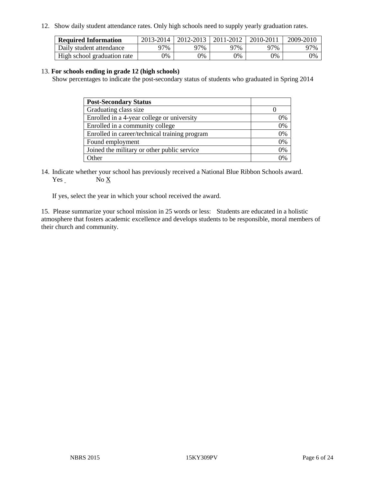12. Show daily student attendance rates. Only high schools need to supply yearly graduation rates.

| <b>Required Information</b> | 2013-2014 | 2012-2013 | 2011-2012 | 2010-2011 | 2009-2010 |
|-----------------------------|-----------|-----------|-----------|-----------|-----------|
| Daily student attendance    | 77%       | 97%       | 97%       | 97%       | 97%       |
| High school graduation rate | 9%        | $9\%$     | $0\%$     | 9%        | 0%        |

#### 13. **For schools ending in grade 12 (high schools)**

Show percentages to indicate the post-secondary status of students who graduated in Spring 2014

| <b>Post-Secondary Status</b>                  |    |
|-----------------------------------------------|----|
| Graduating class size                         |    |
| Enrolled in a 4-year college or university    | 0% |
| Enrolled in a community college               | 0% |
| Enrolled in career/technical training program | 0% |
| Found employment                              | 0% |
| Joined the military or other public service   | 0% |
| Other                                         |    |

14. Indicate whether your school has previously received a National Blue Ribbon Schools award. Yes No X

If yes, select the year in which your school received the award.

15. Please summarize your school mission in 25 words or less: Students are educated in a holistic atmosphere that fosters academic excellence and develops students to be responsible, moral members of their church and community.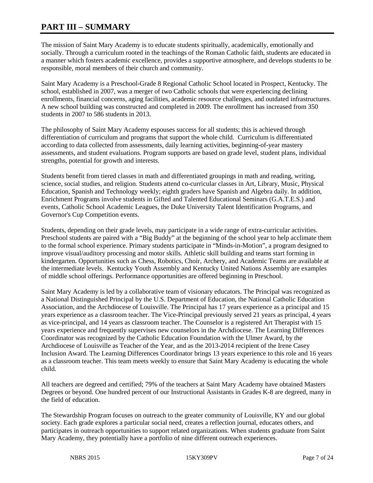# **PART III – SUMMARY**

The mission of Saint Mary Academy is to educate students spiritually, academically, emotionally and socially. Through a curriculum rooted in the teachings of the Roman Catholic faith, students are educated in a manner which fosters academic excellence, provides a supportive atmosphere, and develops students to be responsible, moral members of their church and community.

Saint Mary Academy is a Preschool-Grade 8 Regional Catholic School located in Prospect, Kentucky. The school, established in 2007, was a merger of two Catholic schools that were experiencing declining enrollments, financial concerns, aging facilities, academic resource challenges, and outdated infrastructures. A new school building was constructed and completed in 2009. The enrollment has increased from 350 students in 2007 to 586 students in 2013.

The philosophy of Saint Mary Academy espouses success for all students; this is achieved through differentiation of curriculum and programs that support the whole child. Curriculum is differentiated according to data collected from assessments, daily learning activities, beginning-of-year mastery assessments, and student evaluations. Program supports are based on grade level, student plans, individual strengths, potential for growth and interests.

Students benefit from tiered classes in math and differentiated groupings in math and reading, writing, science, social studies, and religion. Students attend co-curricular classes in Art, Library, Music, Physical Education, Spanish and Technology weekly; eighth graders have Spanish and Algebra daily. In addition, Enrichment Programs involve students in Gifted and Talented Educational Seminars (G.A.T.E.S.) and events, Catholic School Academic Leagues, the Duke University Talent Identification Programs, and Governor's Cup Competition events.

Students, depending on their grade levels, may participate in a wide range of extra-curricular activities. Preschool students are paired with a "Big Buddy" at the beginning of the school year to help acclimate them to the formal school experience. Primary students participate in "Minds-in-Motion", a program designed to improve visual/auditory processing and motor skills. Athletic skill building and teams start forming in kindergarten. Opportunities such as Chess, Robotics, Choir, Archery, and Academic Teams are available at the intermediate levels. Kentucky Youth Assembly and Kentucky United Nations Assembly are examples of middle school offerings. Performance opportunities are offered beginning in Preschool.

Saint Mary Academy is led by a collaborative team of visionary educators. The Principal was recognized as a National Distinguished Principal by the U.S. Department of Education, the National Catholic Education Association, and the Archdiocese of Louisville. The Principal has 17 years experience as a principal and 15 years experience as a classroom teacher. The Vice-Principal previously served 21 years as principal, 4 years as vice-principal, and 14 years as classroom teacher. The Counselor is a registered Art Therapist with 15 years experience and frequently supervises new counselors in the Archdiocese. The Learning Differences Coordinator was recognized by the Catholic Education Foundation with the Ulmer Award, by the Archdiocese of Louisville as Teacher of the Year, and as the 2013-2014 recipient of the Irene Casey Inclusion Award. The Learning Differences Coordinator brings 13 years experience to this role and 16 years as a classroom teacher. This team meets weekly to ensure that Saint Mary Academy is educating the whole child.

All teachers are degreed and certified; 79% of the teachers at Saint Mary Academy have obtained Masters Degrees or beyond. One hundred percent of our Instructional Assistants in Grades K-8 are degreed, many in the field of education.

The Stewardship Program focuses on outreach to the greater community of Louisville, KY and our global society. Each grade explores a particular social need, creates a reflection journal, educates others, and participates in outreach opportunities to support related organizations. When students graduate from Saint Mary Academy, they potentially have a portfolio of nine different outreach experiences.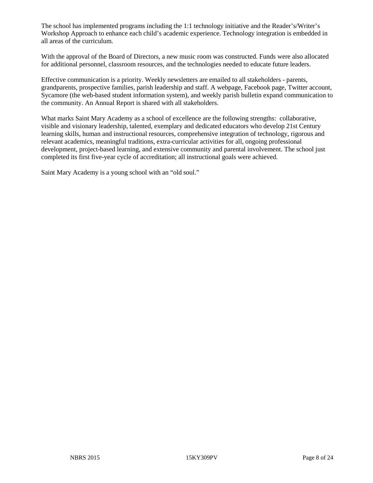The school has implemented programs including the 1:1 technology initiative and the Reader's/Writer's Workshop Approach to enhance each child's academic experience. Technology integration is embedded in all areas of the curriculum.

With the approval of the Board of Directors, a new music room was constructed. Funds were also allocated for additional personnel, classroom resources, and the technologies needed to educate future leaders.

Effective communication is a priority. Weekly newsletters are emailed to all stakeholders - parents, grandparents, prospective families, parish leadership and staff. A webpage, Facebook page, Twitter account, Sycamore (the web-based student information system), and weekly parish bulletin expand communication to the community. An Annual Report is shared with all stakeholders.

What marks Saint Mary Academy as a school of excellence are the following strengths: collaborative, visible and visionary leadership, talented, exemplary and dedicated educators who develop 21st Century learning skills, human and instructional resources, comprehensive integration of technology, rigorous and relevant academics, meaningful traditions, extra-curricular activities for all, ongoing professional development, project-based learning, and extensive community and parental involvement. The school just completed its first five-year cycle of accreditation; all instructional goals were achieved.

Saint Mary Academy is a young school with an "old soul."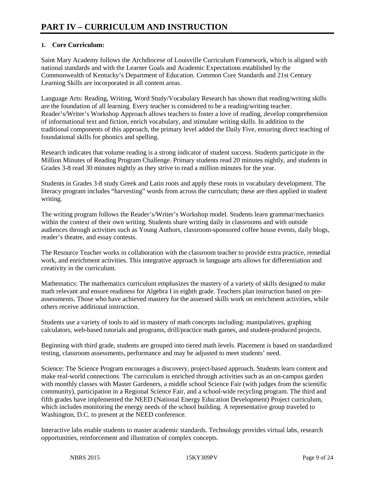# **1. Core Curriculum:**

Saint Mary Academy follows the Archdiocese of Louisville Curriculum Framework, which is aligned with national standards and with the Learner Goals and Academic Expectations established by the Commonwealth of Kentucky's Department of Education. Common Core Standards and 21st Century Learning Skills are incorporated in all content areas.

Language Arts: Reading, Writing, Word Study/Vocabulary Research has shown that reading/writing skills are the foundation of all learning. Every teacher is considered to be a reading/writing teacher. Reader's/Writer's Workshop Approach allows teachers to foster a love of reading, develop comprehension of informational text and fiction, enrich vocabulary, and stimulate writing skills. In addition to the traditional components of this approach, the primary level added the Daily Five, ensuring direct teaching of foundational skills for phonics and spelling.

Research indicates that volume reading is a strong indicator of student success. Students participate in the Million Minutes of Reading Program Challenge. Primary students read 20 minutes nightly, and students in Grades 3-8 read 30 minutes nightly as they strive to read a million minutes for the year.

Students in Grades 3-8 study Greek and Latin roots and apply these roots in vocabulary development. The literacy program includes "harvesting" words from across the curriculum; these are then applied in student writing.

The writing program follows the Reader's/Writer's Workshop model. Students learn grammar/mechanics within the context of their own writing. Students share writing daily in classrooms and with outside audiences through activities such as Young Authors, classroom-sponsored coffee house events, daily blogs, reader's theatre, and essay contests.

The Resource Teacher works in collaboration with the classroom teacher to provide extra practice, remedial work, and enrichment activities. This integrative approach in language arts allows for differentiation and creativity in the curriculum.

Mathematics: The mathematics curriculum emphasizes the mastery of a variety of skills designed to make math relevant and ensure readiness for Algebra I in eighth grade. Teachers plan instruction based on preassessments. Those who have achieved mastery for the assessed skills work on enrichment activities, while others receive additional instruction.

Students use a variety of tools to aid in mastery of math concepts including: manipulatives, graphing calculators, web-based tutorials and programs, drill/practice math games, and student-produced projects.

Beginning with third grade, students are grouped into tiered math levels. Placement is based on standardized testing, classroom assessments, performance and may be adjusted to meet students' need.

Science: The Science Program encourages a discovery, project-based approach. Students learn content and make real-world connections. The curriculum is enriched through activities such as an on-campus garden with monthly classes with Master Gardeners, a middle school Science Fair (with judges from the scientific community), participation in a Regional Science Fair, and a school-wide recycling program. The third and fifth grades have implemented the NEED (National Energy Education Development) Project curriculum, which includes monitoring the energy needs of the school building. A representative group traveled to Washington, D.C. to present at the NEED conference.

Interactive labs enable students to master academic standards. Technology provides virtual labs, research opportunities, reinforcement and illustration of complex concepts.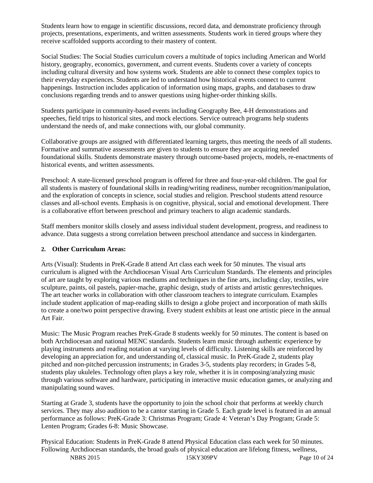Students learn how to engage in scientific discussions, record data, and demonstrate proficiency through projects, presentations, experiments, and written assessments. Students work in tiered groups where they receive scaffolded supports according to their mastery of content.

Social Studies: The Social Studies curriculum covers a multitude of topics including American and World history, geography, economics, government, and current events. Students cover a variety of concepts including cultural diversity and how systems work. Students are able to connect these complex topics to their everyday experiences. Students are led to understand how historical events connect to current happenings. Instruction includes application of information using maps, graphs, and databases to draw conclusions regarding trends and to answer questions using higher-order thinking skills.

Students participate in community-based events including Geography Bee, 4-H demonstrations and speeches, field trips to historical sites, and mock elections. Service outreach programs help students understand the needs of, and make connections with, our global community.

Collaborative groups are assigned with differentiated learning targets, thus meeting the needs of all students. Formative and summative assessments are given to students to ensure they are acquiring needed foundational skills. Students demonstrate mastery through outcome-based projects, models, re-enactments of historical events, and written assessments.

Preschool: A state-licensed preschool program is offered for three and four-year-old children. The goal for all students is mastery of foundational skills in reading/writing readiness, number recognition/manipulation, and the exploration of concepts in science, social studies and religion. Preschool students attend resource classes and all-school events. Emphasis is on cognitive, physical, social and emotional development. There is a collaborative effort between preschool and primary teachers to align academic standards.

Staff members monitor skills closely and assess individual student development, progress, and readiness to advance. Data suggests a strong correlation between preschool attendance and success in kindergarten.

# **2. Other Curriculum Areas:**

Arts (Visual): Students in PreK-Grade 8 attend Art class each week for 50 minutes. The visual arts curriculum is aligned with the Archdiocesan Visual Arts Curriculum Standards. The elements and principles of art are taught by exploring various mediums and techniques in the fine arts, including clay, textiles, wire sculpture, paints, oil pastels, papier-mache, graphic design, study of artists and artistic genres/techniques. The art teacher works in collaboration with other classroom teachers to integrate curriculum. Examples include student application of map-reading skills to design a globe project and incorporation of math skills to create a one/two point perspective drawing. Every student exhibits at least one artistic piece in the annual Art Fair.

Music: The Music Program reaches PreK-Grade 8 students weekly for 50 minutes. The content is based on both Archdiocesan and national MENC standards. Students learn music through authentic experience by playing instruments and reading notation at varying levels of difficulty. Listening skills are reinforced by developing an appreciation for, and understanding of, classical music. In PreK-Grade 2, students play pitched and non-pitched percussion instruments; in Grades 3-5, students play recorders; in Grades 5-8, students play ukuleles. Technology often plays a key role, whether it is in composing/analyzing music through various software and hardware, participating in interactive music education games, or analyzing and manipulating sound waves.

Starting at Grade 3, students have the opportunity to join the school choir that performs at weekly church services. They may also audition to be a cantor starting in Grade 5. Each grade level is featured in an annual performance as follows: PreK-Grade 3: Christmas Program; Grade 4: Veteran's Day Program; Grade 5: Lenten Program; Grades 6-8: Music Showcase.

NBRS 2015 15KY309PV Page 10 of 24 Physical Education: Students in PreK-Grade 8 attend Physical Education class each week for 50 minutes. Following Archdiocesan standards, the broad goals of physical education are lifelong fitness, wellness,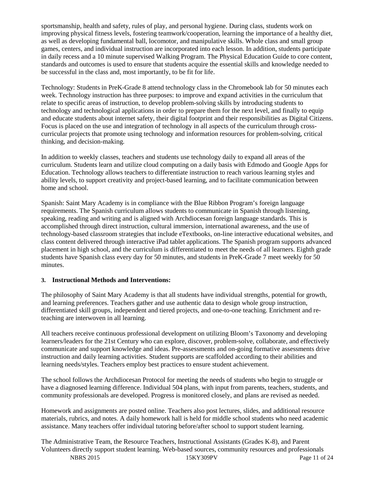sportsmanship, health and safety, rules of play, and personal hygiene. During class, students work on improving physical fitness levels, fostering teamwork/cooperation, learning the importance of a healthy diet, as well as developing fundamental ball, locomotor, and manipulative skills. Whole class and small group games, centers, and individual instruction are incorporated into each lesson. In addition, students participate in daily recess and a 10 minute supervised Walking Program. The Physical Education Guide to core content, standards and outcomes is used to ensure that students acquire the essential skills and knowledge needed to be successful in the class and, most importantly, to be fit for life.

Technology: Students in PreK-Grade 8 attend technology class in the Chromebook lab for 50 minutes each week. Technology instruction has three purposes: to improve and expand activities in the curriculum that relate to specific areas of instruction, to develop problem-solving skills by introducing students to technology and technological applications in order to prepare them for the next level, and finally to equip and educate students about internet safety, their digital footprint and their responsibilities as Digital Citizens. Focus is placed on the use and integration of technology in all aspects of the curriculum through crosscurricular projects that promote using technology and information resources for problem-solving, critical thinking, and decision-making.

In addition to weekly classes, teachers and students use technology daily to expand all areas of the curriculum. Students learn and utilize cloud computing on a daily basis with Edmodo and Google Apps for Education. Technology allows teachers to differentiate instruction to reach various learning styles and ability levels, to support creativity and project-based learning, and to facilitate communication between home and school.

Spanish: Saint Mary Academy is in compliance with the Blue Ribbon Program's foreign language requirements. The Spanish curriculum allows students to communicate in Spanish through listening, speaking, reading and writing and is aligned with Archdiocesan foreign language standards. This is accomplished through direct instruction, cultural immersion, international awareness, and the use of technology-based classroom strategies that include eTextbooks, on-line interactive educational websites, and class content delivered through interactive iPad tablet applications. The Spanish program supports advanced placement in high school, and the curriculum is differentiated to meet the needs of all learners. Eighth grade students have Spanish class every day for 50 minutes, and students in PreK-Grade 7 meet weekly for 50 minutes.

# **3. Instructional Methods and Interventions:**

The philosophy of Saint Mary Academy is that all students have individual strengths, potential for growth, and learning preferences. Teachers gather and use authentic data to design whole group instruction, differentiated skill groups, independent and tiered projects, and one-to-one teaching. Enrichment and reteaching are interwoven in all learning.

All teachers receive continuous professional development on utilizing Bloom's Taxonomy and developing learners/leaders for the 21st Century who can explore, discover, problem-solve, collaborate, and effectively communicate and support knowledge and ideas. Pre-assessments and on-going formative assessments drive instruction and daily learning activities. Student supports are scaffolded according to their abilities and learning needs/styles. Teachers employ best practices to ensure student achievement.

The school follows the Archdiocesan Protocol for meeting the needs of students who begin to struggle or have a diagnosed learning difference. Individual 504 plans, with input from parents, teachers, students, and community professionals are developed. Progress is monitored closely, and plans are revised as needed.

Homework and assignments are posted online. Teachers also post lectures, slides, and additional resource materials, rubrics, and notes. A daily homework hall is held for middle school students who need academic assistance. Many teachers offer individual tutoring before/after school to support student learning.

NBRS 2015 15KY309PV Page 11 of 24 The Administrative Team, the Resource Teachers, Instructional Assistants (Grades K-8), and Parent Volunteers directly support student learning. Web-based sources, community resources and professionals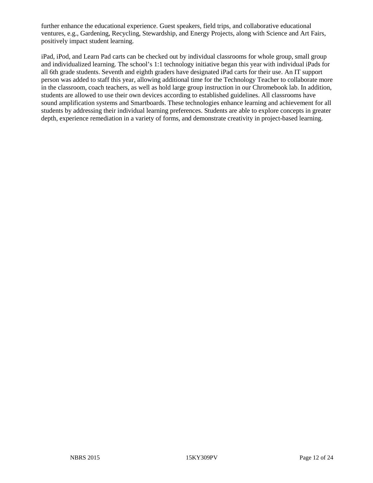further enhance the educational experience. Guest speakers, field trips, and collaborative educational ventures, e.g., Gardening, Recycling, Stewardship, and Energy Projects, along with Science and Art Fairs, positively impact student learning.

iPad, iPod, and Learn Pad carts can be checked out by individual classrooms for whole group, small group and individualized learning. The school's 1:1 technology initiative began this year with individual iPads for all 6th grade students. Seventh and eighth graders have designated iPad carts for their use. An IT support person was added to staff this year, allowing additional time for the Technology Teacher to collaborate more in the classroom, coach teachers, as well as hold large group instruction in our Chromebook lab. In addition, students are allowed to use their own devices according to established guidelines. All classrooms have sound amplification systems and Smartboards. These technologies enhance learning and achievement for all students by addressing their individual learning preferences. Students are able to explore concepts in greater depth, experience remediation in a variety of forms, and demonstrate creativity in project-based learning.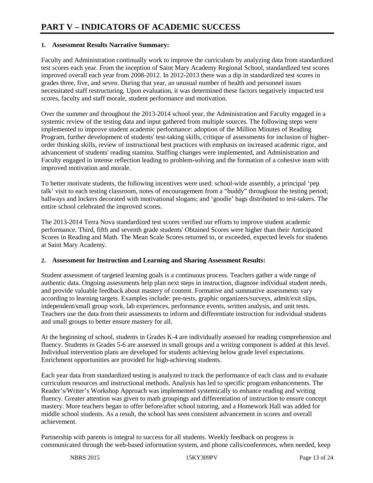#### **1. Assessment Results Narrative Summary:**

Faculty and Administration continually work to improve the curriculum by analyzing data from standardized test scores each year. From the inception of Saint Mary Academy Regional School, standardized test scores improved overall each year from 2008-2012. In 2012-2013 there was a dip in standardized test scores in grades three, five, and seven. During that year, an unusual number of health and personnel issues necessitated staff restructuring. Upon evaluation, it was determined these factors negatively impacted test scores, faculty and staff morale, student performance and motivation.

Over the summer and throughout the 2013-2014 school year, the Administration and Faculty engaged in a systemic review of the testing data and input gathered from multiple sources. The following steps were implemented to improve student academic performance: adoption of the Million Minutes of Reading Program, further development of students' test-taking skills, critique of assessments for inclusion of higherorder thinking skills, review of instructional best practices with emphasis on increased academic rigor, and advancement of students' reading stamina. Staffing changes were implemented, and Administration and Faculty engaged in intense reflection leading to problem-solving and the formation of a cohesive team with improved motivation and morale.

To better motivate students, the following incentives were used: school-wide assembly, a principal 'pep talk' visit to each testing classroom, notes of encouragement from a "buddy" throughout the testing period; hallways and lockers decorated with motivational slogans; and 'goodie' bags distributed to test-takers. The entire school celebrated the improved scores.

The 2013-2014 Terra Nova standardized test scores verified our efforts to improve student academic performance. Third, fifth and seventh grade students' Obtained Scores were higher than their Anticipated Scores in Reading and Math. The Mean Scale Scores returned to, or exceeded, expected levels for students at Saint Mary Academy.

# **2. Assessment for Instruction and Learning and Sharing Assessment Results:**

Student assessment of targeted learning goals is a continuous process. Teachers gather a wide range of authentic data. Ongoing assessments help plan next steps in instruction, diagnose individual student needs, and provide valuable feedback about mastery of content. Formative and summative assessments vary according to learning targets. Examples include: pre-tests, graphic organizers/surveys, admit/exit slips, independent/small group work, lab experiences, performance events, written analysis, and unit tests. Teachers use the data from their assessments to inform and differentiate instruction for individual students and small groups to better ensure mastery for all.

At the beginning of school, students in Grades K-4 are individually assessed for reading comprehension and fluency. Students in Grades 5-6 are assessed in small groups and a writing component is added at this level. Individual intervention plans are developed for students achieving below grade level expectations. Enrichment opportunities are provided for high-achieving students.

Each year data from standardized testing is analyzed to track the performance of each class and to evaluate curriculum resources and instructional methods. Analysis has led to specific program enhancements. The Reader's/Writer's Workshop Approach was implemented systemically to enhance reading and writing fluency. Greater attention was given to math groupings and differentiation of instruction to ensure concept mastery. More teachers began to offer before/after school tutoring, and a Homework Hall was added for middle school students. As a result, the school has seen consistent advancement in scores and overall achievement.

Partnership with parents is integral to success for all students. Weekly feedback on progress is communicated through the web-based information system, and phone calls/conferences, when needed, keep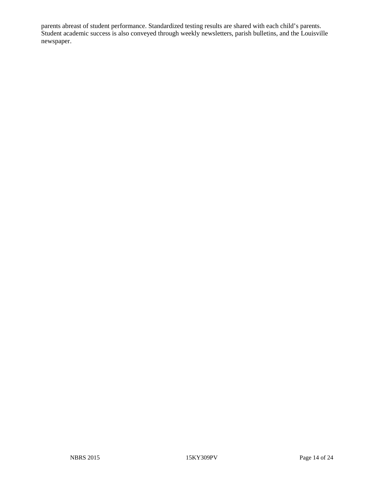parents abreast of student performance. Standardized testing results are shared with each child's parents. Student academic success is also conveyed through weekly newsletters, parish bulletins, and the Louisville newspaper.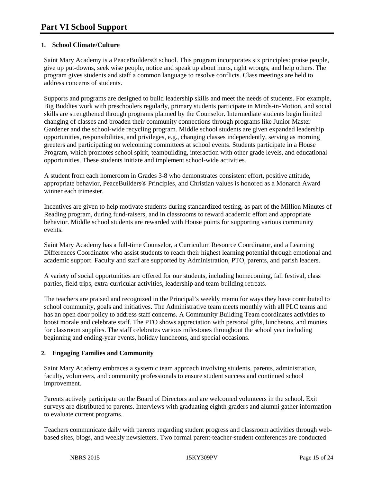# **1. School Climate/Culture**

Saint Mary Academy is a PeaceBuilders® school. This program incorporates six principles: praise people, give up put-downs, seek wise people, notice and speak up about hurts, right wrongs, and help others. The program gives students and staff a common language to resolve conflicts. Class meetings are held to address concerns of students.

Supports and programs are designed to build leadership skills and meet the needs of students. For example, Big Buddies work with preschoolers regularly, primary students participate in Minds-in-Motion, and social skills are strengthened through programs planned by the Counselor. Intermediate students begin limited changing of classes and broaden their community connections through programs like Junior Master Gardener and the school-wide recycling program. Middle school students are given expanded leadership opportunities, responsibilities, and privileges, e.g., changing classes independently, serving as morning greeters and participating on welcoming committees at school events. Students participate in a House Program, which promotes school spirit, teambuilding, interaction with other grade levels, and educational opportunities. These students initiate and implement school-wide activities.

A student from each homeroom in Grades 3-8 who demonstrates consistent effort, positive attitude, appropriate behavior, PeaceBuilders® Principles, and Christian values is honored as a Monarch Award winner each trimester.

Incentives are given to help motivate students during standardized testing, as part of the Million Minutes of Reading program, during fund-raisers, and in classrooms to reward academic effort and appropriate behavior. Middle school students are rewarded with House points for supporting various community events.

Saint Mary Academy has a full-time Counselor, a Curriculum Resource Coordinator, and a Learning Differences Coordinator who assist students to reach their highest learning potential through emotional and academic support. Faculty and staff are supported by Administration, PTO, parents, and parish leaders.

A variety of social opportunities are offered for our students, including homecoming, fall festival, class parties, field trips, extra-curricular activities, leadership and team-building retreats.

The teachers are praised and recognized in the Principal's weekly memo for ways they have contributed to school community, goals and initiatives. The Administrative team meets monthly with all PLC teams and has an open door policy to address staff concerns. A Community Building Team coordinates activities to boost morale and celebrate staff. The PTO shows appreciation with personal gifts, luncheons, and monies for classroom supplies. The staff celebrates various milestones throughout the school year including beginning and ending-year events, holiday luncheons, and special occasions.

#### **2. Engaging Families and Community**

Saint Mary Academy embraces a systemic team approach involving students, parents, administration, faculty, volunteers, and community professionals to ensure student success and continued school improvement.

Parents actively participate on the Board of Directors and are welcomed volunteers in the school. Exit surveys are distributed to parents. Interviews with graduating eighth graders and alumni gather information to evaluate current programs.

Teachers communicate daily with parents regarding student progress and classroom activities through webbased sites, blogs, and weekly newsletters. Two formal parent-teacher-student conferences are conducted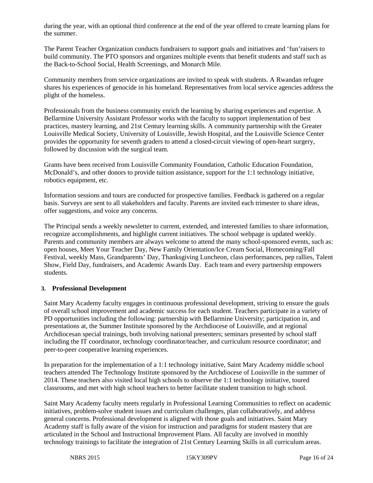during the year, with an optional third conference at the end of the year offered to create learning plans for the summer.

The Parent Teacher Organization conducts fundraisers to support goals and initiatives and 'fun'raisers to build community. The PTO sponsors and organizes multiple events that benefit students and staff such as the Back-to-School Social, Health Screenings, and Monarch Mile.

Community members from service organizations are invited to speak with students. A Rwandan refugee shares his experiences of genocide in his homeland. Representatives from local service agencies address the plight of the homeless.

Professionals from the business community enrich the learning by sharing experiences and expertise. A Bellarmine University Assistant Professor works with the faculty to support implementation of best practices, mastery learning, and 21st Century learning skills. A community partnership with the Greater Louisville Medical Society, University of Louisville, Jewish Hospital, and the Louisville Science Center provides the opportunity for seventh graders to attend a closed-circuit viewing of open-heart surgery, followed by discussion with the surgical team.

Grants have been received from Louisville Community Foundation, Catholic Education Foundation, McDonald's, and other donors to provide tuition assistance, support for the 1:1 technology initiative, robotics equipment, etc.

Information sessions and tours are conducted for prospective families. Feedback is gathered on a regular basis. Surveys are sent to all stakeholders and faculty. Parents are invited each trimester to share ideas, offer suggestions, and voice any concerns.

The Principal sends a weekly newsletter to current, extended, and interested families to share information, recognize accomplishments, and highlight current initiatives. The school webpage is updated weekly. Parents and community members are always welcome to attend the many school-sponsored events, such as: open houses, Meet Your Teacher Day, New Family Orientation/Ice Cream Social, Homecoming/Fall Festival, weekly Mass, Grandparents' Day, Thanksgiving Luncheon, class performances, pep rallies, Talent Show, Field Day, fundraisers, and Academic Awards Day. Each team and every partnership empowers students.

#### **3. Professional Development**

Saint Mary Academy faculty engages in continuous professional development, striving to ensure the goals of overall school improvement and academic success for each student. Teachers participate in a variety of PD opportunities including the following: partnership with Bellarmine University; participation in, and presentations at, the Summer Institute sponsored by the Archdiocese of Louisville, and at regional Archdiocesan special trainings, both involving national presenters; seminars presented by school staff including the IT coordinator, technology coordinator/teacher, and curriculum resource coordinator; and peer-to-peer cooperative learning experiences.

In preparation for the implementation of a 1:1 technology initiative, Saint Mary Academy middle school teachers attended The Technology Institute sponsored by the Archdiocese of Louisville in the summer of 2014. These teachers also visited local high schools to observe the 1:1 technology initiative, toured classrooms, and met with high school teachers to better facilitate student transition to high school.

Saint Mary Academy faculty meets regularly in Professional Learning Communities to reflect on academic initiatives, problem-solve student issues and curriculum challenges, plan collaboratively, and address general concerns. Professional development is aligned with those goals and initiatives. Saint Mary Academy staff is fully aware of the vision for instruction and paradigms for student mastery that are articulated in the School and Instructional Improvement Plans. All faculty are involved in monthly technology trainings to facilitate the integration of 21st Century Learning Skills in all curriculum areas.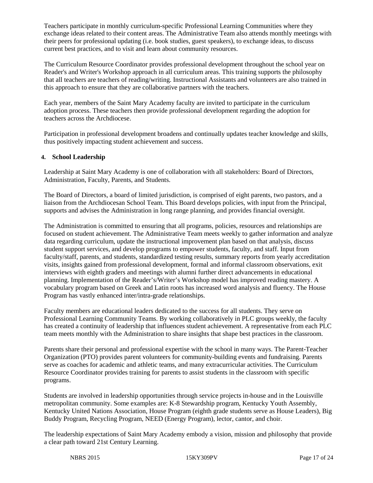Teachers participate in monthly curriculum-specific Professional Learning Communities where they exchange ideas related to their content areas. The Administrative Team also attends monthly meetings with their peers for professional updating (i.e. book studies, guest speakers), to exchange ideas, to discuss current best practices, and to visit and learn about community resources.

The Curriculum Resource Coordinator provides professional development throughout the school year on Reader's and Writer's Workshop approach in all curriculum areas. This training supports the philosophy that all teachers are teachers of reading/writing. Instructional Assistants and volunteers are also trained in this approach to ensure that they are collaborative partners with the teachers.

Each year, members of the Saint Mary Academy faculty are invited to participate in the curriculum adoption process. These teachers then provide professional development regarding the adoption for teachers across the Archdiocese.

Participation in professional development broadens and continually updates teacher knowledge and skills, thus positively impacting student achievement and success.

#### **4. School Leadership**

Leadership at Saint Mary Academy is one of collaboration with all stakeholders: Board of Directors, Administration, Faculty, Parents, and Students.

The Board of Directors, a board of limited jurisdiction, is comprised of eight parents, two pastors, and a liaison from the Archdiocesan School Team. This Board develops policies, with input from the Principal, supports and advises the Administration in long range planning, and provides financial oversight.

The Administration is committed to ensuring that all programs, policies, resources and relationships are focused on student achievement. The Administrative Team meets weekly to gather information and analyze data regarding curriculum, update the instructional improvement plan based on that analysis, discuss student support services, and develop programs to empower students, faculty, and staff. Input from faculty/staff, parents, and students, standardized testing results, summary reports from yearly accreditation visits, insights gained from professional development, formal and informal classroom observations, exit interviews with eighth graders and meetings with alumni further direct advancements in educational planning. Implementation of the Reader's/Writer's Workshop model has improved reading mastery. A vocabulary program based on Greek and Latin roots has increased word analysis and fluency. The House Program has vastly enhanced inter/intra-grade relationships.

Faculty members are educational leaders dedicated to the success for all students. They serve on Professional Learning Community Teams. By working collaboratively in PLC groups weekly, the faculty has created a continuity of leadership that influences student achievement. A representative from each PLC team meets monthly with the Administration to share insights that shape best practices in the classroom.

Parents share their personal and professional expertise with the school in many ways. The Parent-Teacher Organization (PTO) provides parent volunteers for community-building events and fundraising. Parents serve as coaches for academic and athletic teams, and many extracurricular activities. The Curriculum Resource Coordinator provides training for parents to assist students in the classroom with specific programs.

Students are involved in leadership opportunities through service projects in-house and in the Louisville metropolitan community. Some examples are: K-8 Stewardship program, Kentucky Youth Assembly, Kentucky United Nations Association, House Program (eighth grade students serve as House Leaders), Big Buddy Program, Recycling Program, NEED (Energy Program), lector, cantor, and choir.

The leadership expectations of Saint Mary Academy embody a vision, mission and philosophy that provide a clear path toward 21st Century Learning.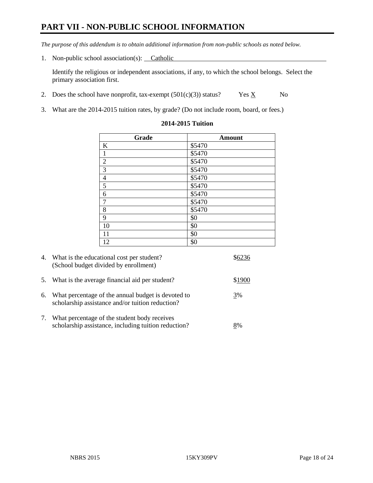# **PART VII - NON-PUBLIC SCHOOL INFORMATION**

*The purpose of this addendum is to obtain additional information from non-public schools as noted below.*

1. Non-public school association(s): Catholic

Identify the religious or independent associations, if any, to which the school belongs. Select the primary association first.

- 2. Does the school have nonprofit, tax-exempt  $(501(c)(3))$  status? Yes  $\underline{X}$  No
- 3. What are the 2014-2015 tuition rates, by grade? (Do not include room, board, or fees.)

| Grade                   | <b>Amount</b>      |
|-------------------------|--------------------|
| $\bf K$                 | \$5470             |
| $\,1\,$                 | \$5470             |
| $\overline{2}$          | \$5470             |
| $\overline{\mathbf{3}}$ | \$5470             |
| $\overline{4}$          | $\overline{$}5470$ |
| $\overline{5}$          | $\sqrt{$5470}$     |
| $\boldsymbol{6}$        | $\overline{$}5470$ |
| $\overline{7}$          | \$5470             |
| $\,8\,$                 | \$5470             |
| 9                       | \$0                |
| 10                      | \$0                |
| 11                      | \$0                |
| 12                      | \$0                |

#### **2014-2015 Tuition**

|    | 4. What is the educational cost per student?<br>(School budget divided by enrollment)                  |        |
|----|--------------------------------------------------------------------------------------------------------|--------|
| 5. | What is the average financial aid per student?                                                         | \$1900 |
| 6. | What percentage of the annual budget is devoted to<br>scholarship assistance and/or tuition reduction? | 3%     |
| 7. | What percentage of the student body receives<br>scholarship assistance, including tuition reduction?   | 8%     |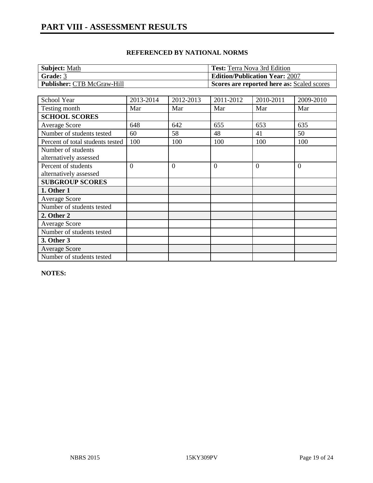| Subject: Math                     | <b>Test:</b> Terra Nova 3rd Edition               |
|-----------------------------------|---------------------------------------------------|
| Grade: 3                          | <b>Edition/Publication Year: 2007</b>             |
| <b>Publisher: CTB McGraw-Hill</b> | <b>Scores are reported here as: Scaled scores</b> |

| School Year                      | 2013-2014      | 2012-2013      | 2011-2012      | 2010-2011 | 2009-2010      |
|----------------------------------|----------------|----------------|----------------|-----------|----------------|
| Testing month                    | Mar            | Mar            | Mar            | Mar       | Mar            |
| <b>SCHOOL SCORES</b>             |                |                |                |           |                |
| Average Score                    | 648            | 642            | 655            | 653       | 635            |
| Number of students tested        | 60             | 58             | 48             | 41        | 50             |
| Percent of total students tested | 100            | 100            | 100            | 100       | 100            |
| Number of students               |                |                |                |           |                |
| alternatively assessed           |                |                |                |           |                |
| Percent of students              | $\overline{0}$ | $\overline{0}$ | $\overline{0}$ | $\Omega$  | $\overline{0}$ |
| alternatively assessed           |                |                |                |           |                |
| <b>SUBGROUP SCORES</b>           |                |                |                |           |                |
| 1. Other 1                       |                |                |                |           |                |
| <b>Average Score</b>             |                |                |                |           |                |
| Number of students tested        |                |                |                |           |                |
| 2. Other 2                       |                |                |                |           |                |
| <b>Average Score</b>             |                |                |                |           |                |
| Number of students tested        |                |                |                |           |                |
| 3. Other 3                       |                |                |                |           |                |
| <b>Average Score</b>             |                |                |                |           |                |
| Number of students tested        |                |                |                |           |                |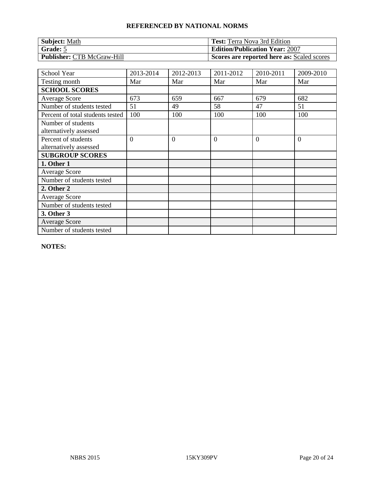| <b>Subject: Math</b>              | <b>Test:</b> Terra Nova 3rd Edition        |
|-----------------------------------|--------------------------------------------|
| Grade: 5                          | <b>Edition/Publication Year: 2007</b>      |
| <b>Publisher: CTB McGraw-Hill</b> | Scores are reported here as: Scaled scores |

| School Year                                   | 2013-2014      | 2012-2013      | 2011-2012      | 2010-2011 | 2009-2010      |
|-----------------------------------------------|----------------|----------------|----------------|-----------|----------------|
| Testing month                                 | Mar            | Mar            | Mar            | Mar       | Mar            |
| <b>SCHOOL SCORES</b>                          |                |                |                |           |                |
| <b>Average Score</b>                          | 673            | 659            | 667            | 679       | 682            |
| Number of students tested                     | 51             | 49             | 58             | 47        | 51             |
| Percent of total students tested              | 100            | 100            | 100            | 100       | 100            |
| Number of students<br>alternatively assessed  |                |                |                |           |                |
| Percent of students<br>alternatively assessed | $\overline{0}$ | $\overline{0}$ | $\overline{0}$ | $\Omega$  | $\overline{0}$ |
| <b>SUBGROUP SCORES</b>                        |                |                |                |           |                |
| 1. Other 1                                    |                |                |                |           |                |
| <b>Average Score</b>                          |                |                |                |           |                |
| Number of students tested                     |                |                |                |           |                |
| 2. Other 2                                    |                |                |                |           |                |
| <b>Average Score</b>                          |                |                |                |           |                |
| Number of students tested                     |                |                |                |           |                |
| 3. Other 3                                    |                |                |                |           |                |
| <b>Average Score</b>                          |                |                |                |           |                |
| Number of students tested                     |                |                |                |           |                |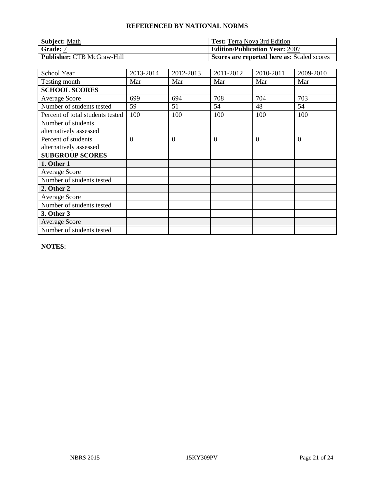| <b>Subject: Math</b>              | <b>Test:</b> Terra Nova 3rd Edition        |
|-----------------------------------|--------------------------------------------|
| Grade: 7                          | <b>Edition/Publication Year: 2007</b>      |
| <b>Publisher: CTB McGraw-Hill</b> | Scores are reported here as: Scaled scores |

| School Year                                   | 2013-2014      | 2012-2013      | 2011-2012      | 2010-2011 | 2009-2010      |
|-----------------------------------------------|----------------|----------------|----------------|-----------|----------------|
| Testing month                                 | Mar            | Mar            | Mar            | Mar       | Mar            |
| <b>SCHOOL SCORES</b>                          |                |                |                |           |                |
| <b>Average Score</b>                          | 699            | 694            | 708            | 704       | 703            |
| Number of students tested                     | 59             | 51             | 54             | 48        | 54             |
| Percent of total students tested              | 100            | 100            | 100            | 100       | 100            |
| Number of students<br>alternatively assessed  |                |                |                |           |                |
| Percent of students<br>alternatively assessed | $\overline{0}$ | $\overline{0}$ | $\overline{0}$ | $\theta$  | $\overline{0}$ |
| <b>SUBGROUP SCORES</b>                        |                |                |                |           |                |
| 1. Other 1                                    |                |                |                |           |                |
| <b>Average Score</b>                          |                |                |                |           |                |
| Number of students tested                     |                |                |                |           |                |
| 2. Other 2                                    |                |                |                |           |                |
| <b>Average Score</b>                          |                |                |                |           |                |
| Number of students tested                     |                |                |                |           |                |
| 3. Other 3                                    |                |                |                |           |                |
| <b>Average Score</b>                          |                |                |                |           |                |
| Number of students tested                     |                |                |                |           |                |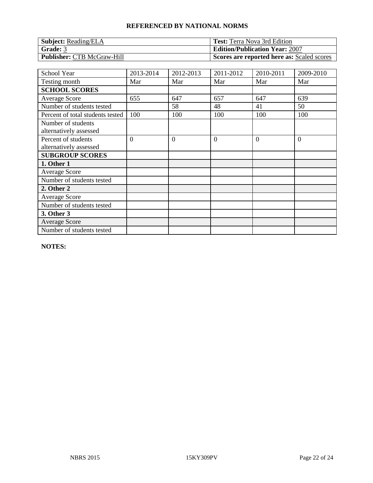| <b>Subject:</b> Reading/ELA       | <b>Test:</b> Terra Nova 3rd Edition        |
|-----------------------------------|--------------------------------------------|
| Grade: 3                          | <b>Edition/Publication Year: 2007</b>      |
| <b>Publisher: CTB McGraw-Hill</b> | Scores are reported here as: Scaled scores |

| School Year                                   | 2013-2014 | 2012-2013      | 2011-2012      | 2010-2011 | 2009-2010 |
|-----------------------------------------------|-----------|----------------|----------------|-----------|-----------|
| Testing month                                 | Mar       | Mar            | Mar            | Mar       | Mar       |
| <b>SCHOOL SCORES</b>                          |           |                |                |           |           |
| <b>Average Score</b>                          | 655       | 647            | 657            | 647       | 639       |
| Number of students tested                     |           | 58             | 48             | 41        | 50        |
| Percent of total students tested              | 100       | 100            | 100            | 100       | 100       |
| Number of students<br>alternatively assessed  |           |                |                |           |           |
| Percent of students<br>alternatively assessed | $\theta$  | $\overline{0}$ | $\overline{0}$ | $\Omega$  | $\theta$  |
| <b>SUBGROUP SCORES</b>                        |           |                |                |           |           |
| 1. Other 1                                    |           |                |                |           |           |
| <b>Average Score</b>                          |           |                |                |           |           |
| Number of students tested                     |           |                |                |           |           |
| 2. Other 2                                    |           |                |                |           |           |
| <b>Average Score</b>                          |           |                |                |           |           |
| Number of students tested                     |           |                |                |           |           |
| 3. Other 3                                    |           |                |                |           |           |
| <b>Average Score</b>                          |           |                |                |           |           |
| Number of students tested                     |           |                |                |           |           |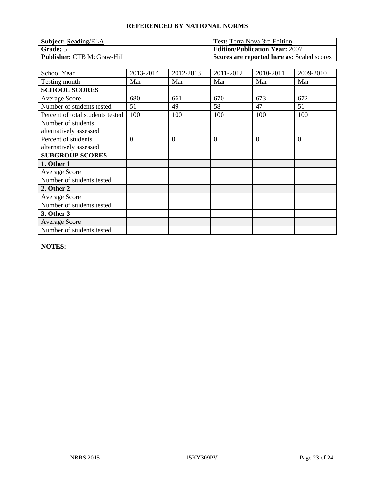| <b>Subject:</b> Reading/ELA       | <b>Test:</b> Terra Nova 3rd Edition        |
|-----------------------------------|--------------------------------------------|
| Grade: 5                          | <b>Edition/Publication Year: 2007</b>      |
| <b>Publisher: CTB McGraw-Hill</b> | Scores are reported here as: Scaled scores |

| School Year                                   | 2013-2014 | 2012-2013      | 2011-2012      | 2010-2011 | 2009-2010 |
|-----------------------------------------------|-----------|----------------|----------------|-----------|-----------|
| Testing month                                 | Mar       | Mar            | Mar            | Mar       | Mar       |
| <b>SCHOOL SCORES</b>                          |           |                |                |           |           |
| <b>Average Score</b>                          | 680       | 661            | 670            | 673       | 672       |
| Number of students tested                     | 51        | 49             | 58             | 47        | 51        |
| Percent of total students tested              | 100       | 100            | 100            | 100       | 100       |
| Number of students<br>alternatively assessed  |           |                |                |           |           |
| Percent of students<br>alternatively assessed | $\theta$  | $\overline{0}$ | $\overline{0}$ | $\Omega$  | $\theta$  |
| <b>SUBGROUP SCORES</b>                        |           |                |                |           |           |
| 1. Other 1                                    |           |                |                |           |           |
| <b>Average Score</b>                          |           |                |                |           |           |
| Number of students tested                     |           |                |                |           |           |
| 2. Other 2                                    |           |                |                |           |           |
| <b>Average Score</b>                          |           |                |                |           |           |
| Number of students tested                     |           |                |                |           |           |
| 3. Other 3                                    |           |                |                |           |           |
| <b>Average Score</b>                          |           |                |                |           |           |
| Number of students tested                     |           |                |                |           |           |